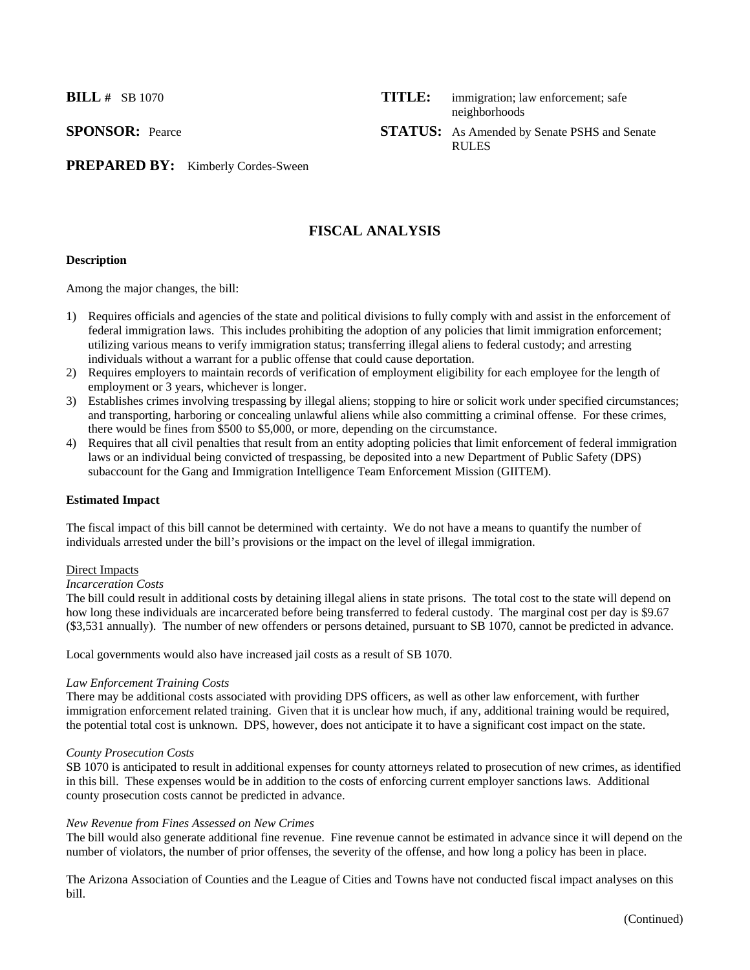**BILL #** SB 1070 **TITLE:** immigration; law enforcement; safe

neighborhoods **SPONSOR:** Pearce **STATUS:** As Amended by Senate PSHS and Senate

RULES

PREPARED BY: Kimberly Cordes-Sween

# **FISCAL ANALYSIS**

#### **Description**

Among the major changes, the bill:

- 1) Requires officials and agencies of the state and political divisions to fully comply with and assist in the enforcement of federal immigration laws. This includes prohibiting the adoption of any policies that limit immigration enforcement; utilizing various means to verify immigration status; transferring illegal aliens to federal custody; and arresting individuals without a warrant for a public offense that could cause deportation.
- 2) Requires employers to maintain records of verification of employment eligibility for each employee for the length of employment or 3 years, whichever is longer.
- 3) Establishes crimes involving trespassing by illegal aliens; stopping to hire or solicit work under specified circumstances; and transporting, harboring or concealing unlawful aliens while also committing a criminal offense. For these crimes, there would be fines from \$500 to \$5,000, or more, depending on the circumstance.
- 4) Requires that all civil penalties that result from an entity adopting policies that limit enforcement of federal immigration laws or an individual being convicted of trespassing, be deposited into a new Department of Public Safety (DPS) subaccount for the Gang and Immigration Intelligence Team Enforcement Mission (GIITEM).

#### **Estimated Impact**

The fiscal impact of this bill cannot be determined with certainty. We do not have a means to quantify the number of individuals arrested under the bill's provisions or the impact on the level of illegal immigration.

#### Direct Impacts

#### *Incarceration Costs*

The bill could result in additional costs by detaining illegal aliens in state prisons. The total cost to the state will depend on how long these individuals are incarcerated before being transferred to federal custody. The marginal cost per day is \$9.67 (\$3,531 annually). The number of new offenders or persons detained, pursuant to SB 1070, cannot be predicted in advance.

Local governments would also have increased jail costs as a result of SB 1070.

# *Law Enforcement Training Costs*

There may be additional costs associated with providing DPS officers, as well as other law enforcement, with further immigration enforcement related training. Given that it is unclear how much, if any, additional training would be required, the potential total cost is unknown. DPS, however, does not anticipate it to have a significant cost impact on the state.

#### *County Prosecution Costs*

SB 1070 is anticipated to result in additional expenses for county attorneys related to prosecution of new crimes, as identified in this bill. These expenses would be in addition to the costs of enforcing current employer sanctions laws. Additional county prosecution costs cannot be predicted in advance.

# *New Revenue from Fines Assessed on New Crimes*

The bill would also generate additional fine revenue. Fine revenue cannot be estimated in advance since it will depend on the number of violators, the number of prior offenses, the severity of the offense, and how long a policy has been in place.

The Arizona Association of Counties and the League of Cities and Towns have not conducted fiscal impact analyses on this bill.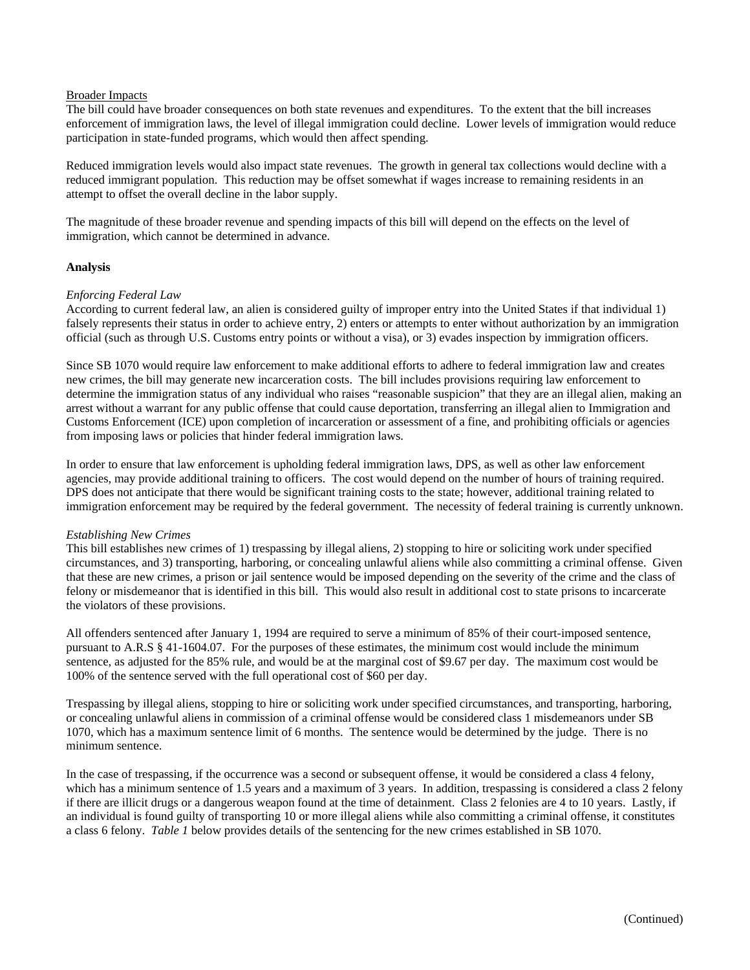#### Broader Impacts

The bill could have broader consequences on both state revenues and expenditures. To the extent that the bill increases enforcement of immigration laws, the level of illegal immigration could decline. Lower levels of immigration would reduce participation in state-funded programs, which would then affect spending.

Reduced immigration levels would also impact state revenues. The growth in general tax collections would decline with a reduced immigrant population. This reduction may be offset somewhat if wages increase to remaining residents in an attempt to offset the overall decline in the labor supply.

The magnitude of these broader revenue and spending impacts of this bill will depend on the effects on the level of immigration, which cannot be determined in advance.

#### **Analysis**

## *Enforcing Federal Law*

According to current federal law, an alien is considered guilty of improper entry into the United States if that individual 1) falsely represents their status in order to achieve entry, 2) enters or attempts to enter without authorization by an immigration official (such as through U.S. Customs entry points or without a visa), or 3) evades inspection by immigration officers.

Since SB 1070 would require law enforcement to make additional efforts to adhere to federal immigration law and creates new crimes, the bill may generate new incarceration costs. The bill includes provisions requiring law enforcement to determine the immigration status of any individual who raises "reasonable suspicion" that they are an illegal alien, making an arrest without a warrant for any public offense that could cause deportation, transferring an illegal alien to Immigration and Customs Enforcement (ICE) upon completion of incarceration or assessment of a fine, and prohibiting officials or agencies from imposing laws or policies that hinder federal immigration laws.

In order to ensure that law enforcement is upholding federal immigration laws, DPS, as well as other law enforcement agencies, may provide additional training to officers. The cost would depend on the number of hours of training required. DPS does not anticipate that there would be significant training costs to the state; however, additional training related to immigration enforcement may be required by the federal government. The necessity of federal training is currently unknown.

#### *Establishing New Crimes*

This bill establishes new crimes of 1) trespassing by illegal aliens, 2) stopping to hire or soliciting work under specified circumstances, and 3) transporting, harboring, or concealing unlawful aliens while also committing a criminal offense. Given that these are new crimes, a prison or jail sentence would be imposed depending on the severity of the crime and the class of felony or misdemeanor that is identified in this bill. This would also result in additional cost to state prisons to incarcerate the violators of these provisions.

All offenders sentenced after January 1, 1994 are required to serve a minimum of 85% of their court-imposed sentence, pursuant to A.R.S § 41-1604.07. For the purposes of these estimates, the minimum cost would include the minimum sentence, as adjusted for the 85% rule, and would be at the marginal cost of \$9.67 per day. The maximum cost would be 100% of the sentence served with the full operational cost of \$60 per day.

Trespassing by illegal aliens, stopping to hire or soliciting work under specified circumstances, and transporting, harboring, or concealing unlawful aliens in commission of a criminal offense would be considered class 1 misdemeanors under SB 1070, which has a maximum sentence limit of 6 months. The sentence would be determined by the judge. There is no minimum sentence.

In the case of trespassing, if the occurrence was a second or subsequent offense, it would be considered a class 4 felony, which has a minimum sentence of 1.5 years and a maximum of 3 years. In addition, trespassing is considered a class 2 felony if there are illicit drugs or a dangerous weapon found at the time of detainment. Class 2 felonies are 4 to 10 years. Lastly, if an individual is found guilty of transporting 10 or more illegal aliens while also committing a criminal offense, it constitutes a class 6 felony. *Table 1* below provides details of the sentencing for the new crimes established in SB 1070.